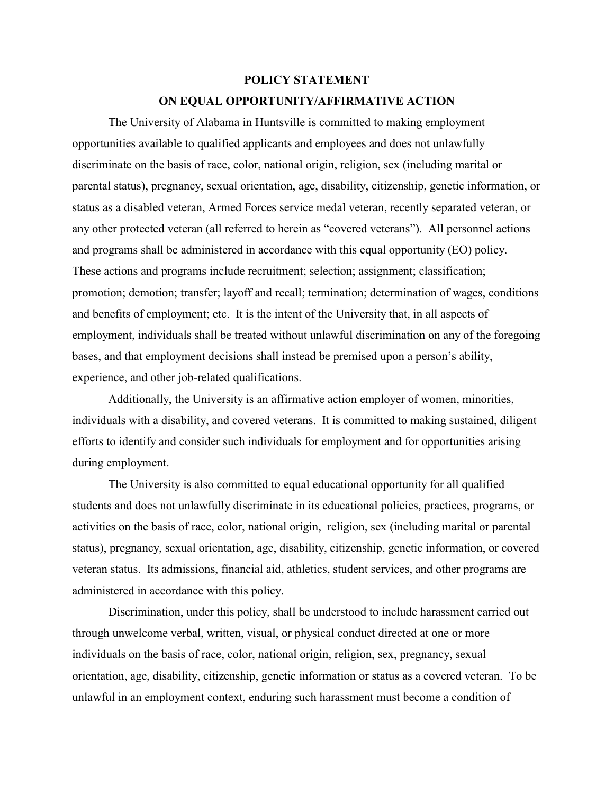## **POLICY STATEMENT**

## **ON EQUAL OPPORTUNITY/AFFIRMATIVE ACTION**

The University of Alabama in Huntsville is committed to making employment opportunities available to qualified applicants and employees and does not unlawfully discriminate on the basis of race, color, national origin, religion, sex (including marital or parental status), pregnancy, sexual orientation, age, disability, citizenship, genetic information, or status as a disabled veteran, Armed Forces service medal veteran, recently separated veteran, or any other protected veteran (all referred to herein as "covered veterans"). All personnel actions and programs shall be administered in accordance with this equal opportunity (EO) policy. These actions and programs include recruitment; selection; assignment; classification; promotion; demotion; transfer; layoff and recall; termination; determination of wages, conditions and benefits of employment; etc. It is the intent of the University that, in all aspects of employment, individuals shall be treated without unlawful discrimination on any of the foregoing bases, and that employment decisions shall instead be premised upon a person's ability, experience, and other job-related qualifications.

Additionally, the University is an affirmative action employer of women, minorities, individuals with a disability, and covered veterans. It is committed to making sustained, diligent efforts to identify and consider such individuals for employment and for opportunities arising during employment.

The University is also committed to equal educational opportunity for all qualified students and does not unlawfully discriminate in its educational policies, practices, programs, or activities on the basis of race, color, national origin, religion, sex (including marital or parental status), pregnancy, sexual orientation, age, disability, citizenship, genetic information, or covered veteran status. Its admissions, financial aid, athletics, student services, and other programs are administered in accordance with this policy.

Discrimination, under this policy, shall be understood to include harassment carried out through unwelcome verbal, written, visual, or physical conduct directed at one or more individuals on the basis of race, color, national origin, religion, sex, pregnancy, sexual orientation, age, disability, citizenship, genetic information or status as a covered veteran. To be unlawful in an employment context, enduring such harassment must become a condition of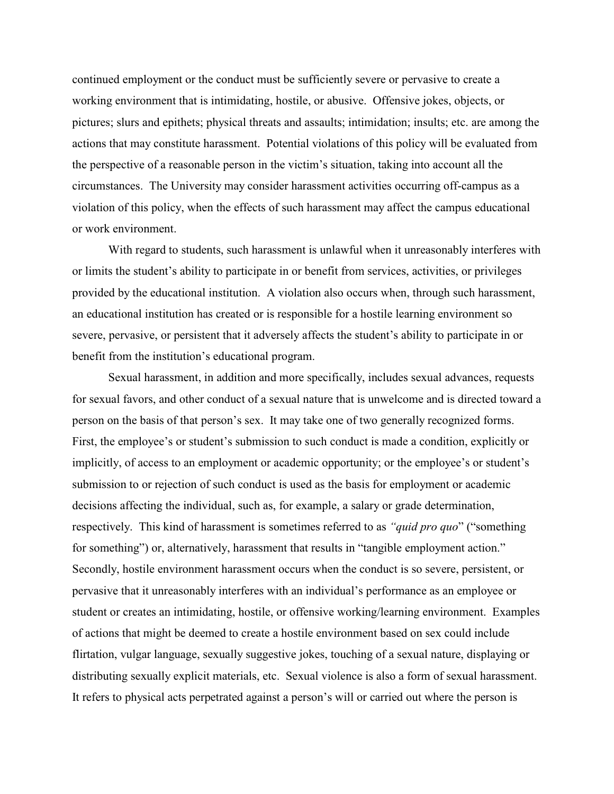continued employment or the conduct must be sufficiently severe or pervasive to create a working environment that is intimidating, hostile, or abusive. Offensive jokes, objects, or pictures; slurs and epithets; physical threats and assaults; intimidation; insults; etc. are among the actions that may constitute harassment. Potential violations of this policy will be evaluated from the perspective of a reasonable person in the victim's situation, taking into account all the circumstances. The University may consider harassment activities occurring off-campus as a violation of this policy, when the effects of such harassment may affect the campus educational or work environment.

With regard to students, such harassment is unlawful when it unreasonably interferes with or limits the student's ability to participate in or benefit from services, activities, or privileges provided by the educational institution. A violation also occurs when, through such harassment, an educational institution has created or is responsible for a hostile learning environment so severe, pervasive, or persistent that it adversely affects the student's ability to participate in or benefit from the institution's educational program.

Sexual harassment, in addition and more specifically, includes sexual advances, requests for sexual favors, and other conduct of a sexual nature that is unwelcome and is directed toward a person on the basis of that person's sex. It may take one of two generally recognized forms. First, the employee's or student's submission to such conduct is made a condition, explicitly or implicitly, of access to an employment or academic opportunity; or the employee's or student's submission to or rejection of such conduct is used as the basis for employment or academic decisions affecting the individual, such as, for example, a salary or grade determination, respectively. This kind of harassment is sometimes referred to as *"quid pro quo*" ("something for something") or, alternatively, harassment that results in "tangible employment action." Secondly, hostile environment harassment occurs when the conduct is so severe, persistent, or pervasive that it unreasonably interferes with an individual's performance as an employee or student or creates an intimidating, hostile, or offensive working/learning environment. Examples of actions that might be deemed to create a hostile environment based on sex could include flirtation, vulgar language, sexually suggestive jokes, touching of a sexual nature, displaying or distributing sexually explicit materials, etc. Sexual violence is also a form of sexual harassment. It refers to physical acts perpetrated against a person's will or carried out where the person is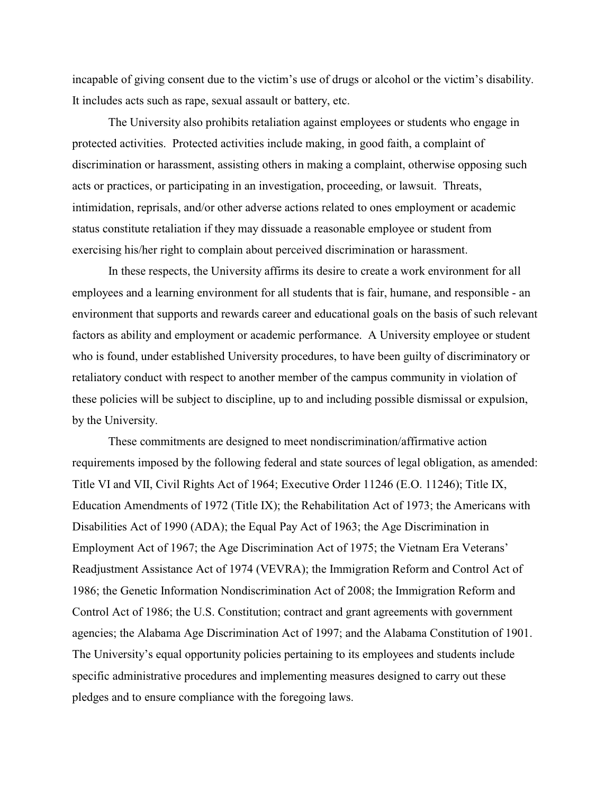incapable of giving consent due to the victim's use of drugs or alcohol or the victim's disability. It includes acts such as rape, sexual assault or battery, etc.

The University also prohibits retaliation against employees or students who engage in protected activities. Protected activities include making, in good faith, a complaint of discrimination or harassment, assisting others in making a complaint, otherwise opposing such acts or practices, or participating in an investigation, proceeding, or lawsuit. Threats, intimidation, reprisals, and/or other adverse actions related to ones employment or academic status constitute retaliation if they may dissuade a reasonable employee or student from exercising his/her right to complain about perceived discrimination or harassment.

In these respects, the University affirms its desire to create a work environment for all employees and a learning environment for all students that is fair, humane, and responsible - an environment that supports and rewards career and educational goals on the basis of such relevant factors as ability and employment or academic performance. A University employee or student who is found, under established University procedures, to have been guilty of discriminatory or retaliatory conduct with respect to another member of the campus community in violation of these policies will be subject to discipline, up to and including possible dismissal or expulsion, by the University.

These commitments are designed to meet nondiscrimination/affirmative action requirements imposed by the following federal and state sources of legal obligation, as amended: Title VI and VII, Civil Rights Act of 1964; Executive Order 11246 (E.O. 11246); Title IX, Education Amendments of 1972 (Title IX); the Rehabilitation Act of 1973; the Americans with Disabilities Act of 1990 (ADA); the Equal Pay Act of 1963; the Age Discrimination in Employment Act of 1967; the Age Discrimination Act of 1975; the Vietnam Era Veterans' Readjustment Assistance Act of 1974 (VEVRA); the Immigration Reform and Control Act of 1986; the Genetic Information Nondiscrimination Act of 2008; the Immigration Reform and Control Act of 1986; the U.S. Constitution; contract and grant agreements with government agencies; the Alabama Age Discrimination Act of 1997; and the Alabama Constitution of 1901. The University's equal opportunity policies pertaining to its employees and students include specific administrative procedures and implementing measures designed to carry out these pledges and to ensure compliance with the foregoing laws.